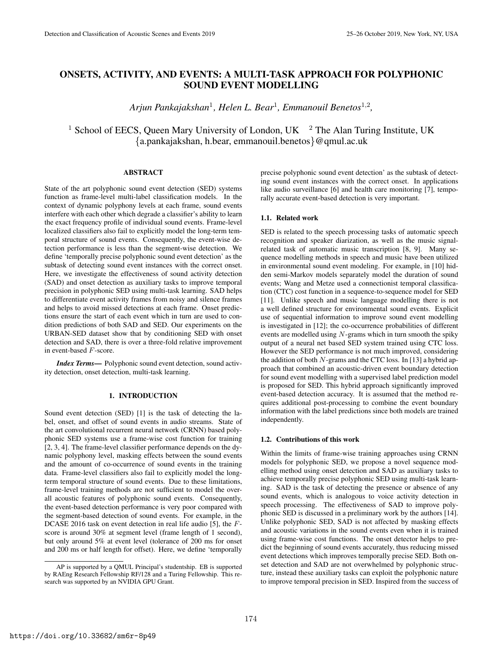# ONSETS, ACTIVITY, AND EVENTS: A MULTI-TASK APPROACH FOR POLYPHONIC SOUND EVENT MODELLING

Arjun Pankajakshan<sup>1</sup>, Helen L. Bear<sup>1</sup>, Emmanouil Benetos<sup>1,2</sup>,

<sup>1</sup> School of EECS, Queen Mary University of London, UK  $^2$  The Alan Turing Institute, UK {a.pankajakshan, h.bear, emmanouil.benetos}@qmul.ac.uk

#### ABSTRACT

State of the art polyphonic sound event detection (SED) systems function as frame-level multi-label classification models. In the context of dynamic polyphony levels at each frame, sound events interfere with each other which degrade a classifier's ability to learn the exact frequency profile of individual sound events. Frame-level localized classifiers also fail to explicitly model the long-term temporal structure of sound events. Consequently, the event-wise detection performance is less than the segment-wise detection. We define 'temporally precise polyphonic sound event detection' as the subtask of detecting sound event instances with the correct onset. Here, we investigate the effectiveness of sound activity detection (SAD) and onset detection as auxiliary tasks to improve temporal precision in polyphonic SED using multi-task learning. SAD helps to differentiate event activity frames from noisy and silence frames and helps to avoid missed detections at each frame. Onset predictions ensure the start of each event which in turn are used to condition predictions of both SAD and SED. Our experiments on the URBAN-SED dataset show that by conditioning SED with onset detection and SAD, there is over a three-fold relative improvement in event-based F-score.

*Index Terms*— Polyphonic sound event detection, sound activity detection, onset detection, multi-task learning.

#### 1. INTRODUCTION

Sound event detection (SED) [1] is the task of detecting the label, onset, and offset of sound events in audio streams. State of the art convolutional recurrent neural network (CRNN) based polyphonic SED systems use a frame-wise cost function for training [2, 3, 4]. The frame-level classifier performance depends on the dynamic polyphony level, masking effects between the sound events and the amount of co-occurrence of sound events in the training data. Frame-level classifiers also fail to explicitly model the longterm temporal structure of sound events. Due to these limitations, frame-level training methods are not sufficient to model the overall acoustic features of polyphonic sound events. Consequently, the event-based detection performance is very poor compared with the segment-based detection of sound events. For example, in the DCASE 2016 task on event detection in real life audio [5], the Fscore is around 30% at segment level (frame length of 1 second), but only around 5% at event level (tolerance of 200 ms for onset and 200 ms or half length for offset). Here, we define 'temporally

precise polyphonic sound event detection' as the subtask of detecting sound event instances with the correct onset. In applications like audio surveillance [6] and health care monitoring [7], temporally accurate event-based detection is very important.

#### 1.1. Related work

SED is related to the speech processing tasks of automatic speech recognition and speaker diarization, as well as the music signalrelated task of automatic music transcription [8, 9]. Many sequence modelling methods in speech and music have been utilized in environmental sound event modeling. For example, in [10] hidden semi-Markov models separately model the duration of sound events; Wang and Metze used a connectionist temporal classification (CTC) cost function in a sequence-to-sequence model for SED [11]. Unlike speech and music language modelling there is not a well defined structure for environmental sound events. Explicit use of sequential information to improve sound event modelling is investigated in [12]; the co-occurrence probabilities of different events are modelled using  $N$ -grams which in turn smooth the spiky output of a neural net based SED system trained using CTC loss. However the SED performance is not much improved, considering the addition of both  $N$ -grams and the CTC loss. In [13] a hybrid approach that combined an acoustic-driven event boundary detection for sound event modelling with a supervised label prediction model is proposed for SED. This hybrid approach significantly improved event-based detection accuracy. It is assumed that the method requires additional post-processing to combine the event boundary information with the label predictions since both models are trained independently.

#### 1.2. Contributions of this work

Within the limits of frame-wise training approaches using CRNN models for polyphonic SED, we propose a novel sequence modelling method using onset detection and SAD as auxiliary tasks to achieve temporally precise polyphonic SED using multi-task learning. SAD is the task of detecting the presence or absence of any sound events, which is analogous to voice activity detection in speech processing. The effectiveness of SAD to improve polyphonic SED is discussed in a preliminary work by the authors [14]. Unlike polyphonic SED, SAD is not affected by masking effects and acoustic variations in the sound events even when it is trained using frame-wise cost functions. The onset detector helps to predict the beginning of sound events accurately, thus reducing missed event detections which improves temporally precise SED. Both onset detection and SAD are not overwhelmed by polyphonic structure, instead these auxiliary tasks can exploit the polyphonic nature to improve temporal precision in SED. Inspired from the success of

AP is supported by a QMUL Principal's studentship. EB is supported by RAEng Research Fellowship RF/128 and a Turing Fellowship. This research was supported by an NVIDIA GPU Grant.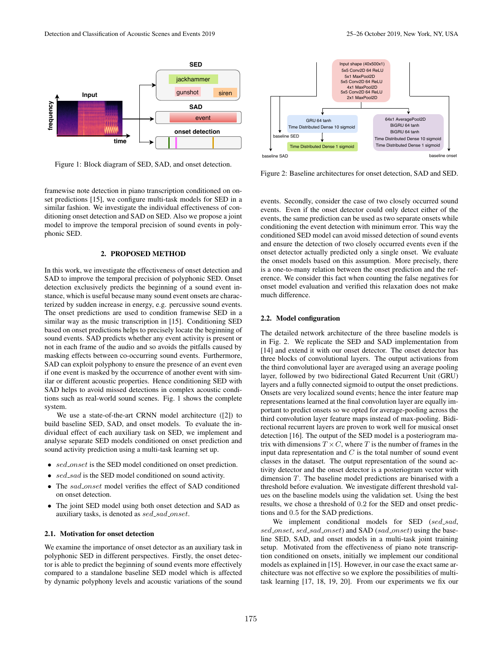

Figure 1: Block diagram of SED, SAD, and onset detection.

framewise note detection in piano transcription conditioned on onset predictions [15], we configure multi-task models for SED in a similar fashion. We investigate the individual effectiveness of conditioning onset detection and SAD on SED. Also we propose a joint model to improve the temporal precision of sound events in polyphonic SED.

#### 2. PROPOSED METHOD

In this work, we investigate the effectiveness of onset detection and SAD to improve the temporal precision of polyphonic SED. Onset detection exclusively predicts the beginning of a sound event instance, which is useful because many sound event onsets are characterized by sudden increase in energy, e.g. percussive sound events. The onset predictions are used to condition framewise SED in a similar way as the music transcription in [15]. Conditioning SED based on onset predictions helps to precisely locate the beginning of sound events. SAD predicts whether any event activity is present or not in each frame of the audio and so avoids the pitfalls caused by masking effects between co-occurring sound events. Furthermore, SAD can exploit polyphony to ensure the presence of an event even if one event is masked by the occurrence of another event with similar or different acoustic properties. Hence conditioning SED with SAD helps to avoid missed detections in complex acoustic conditions such as real-world sound scenes. Fig. 1 shows the complete system.

We use a state-of-the-art CRNN model architecture ([2]) to build baseline SED, SAD, and onset models. To evaluate the individual effect of each auxiliary task on SED, we implement and analyse separate SED models conditioned on onset prediction and sound activity prediction using a multi-task learning set up.

- sed\_onset is the SED model conditioned on onset prediction.
- sed\_sad is the SED model conditioned on sound activity.
- The sad\_onset model verifies the effect of SAD conditioned on onset detection.
- The joint SED model using both onset detection and SAD as auxiliary tasks, is denoted as sed\_sad\_onset.

#### 2.1. Motivation for onset detection

We examine the importance of onset detector as an auxiliary task in polyphonic SED in different perspectives. Firstly, the onset detector is able to predict the beginning of sound events more effectively compared to a standalone baseline SED model which is affected by dynamic polyphony levels and acoustic variations of the sound





Figure 2: Baseline architectures for onset detection, SAD and SED.

events. Secondly, consider the case of two closely occurred sound events. Even if the onset detector could only detect either of the events, the same prediction can be used as two separate onsets while conditioning the event detection with minimum error. This way the conditioned SED model can avoid missed detection of sound events and ensure the detection of two closely occurred events even if the onset detector actually predicted only a single onset. We evaluate the onset models based on this assumption. More precisely, there is a one-to-many relation between the onset prediction and the reference. We consider this fact when counting the false negatives for onset model evaluation and verified this relaxation does not make much difference.

#### 2.2. Model configuration

The detailed network architecture of the three baseline models is in Fig. 2. We replicate the SED and SAD implementation from [14] and extend it with our onset detector. The onset detector has three blocks of convolutional layers. The output activations from the third convolutional layer are averaged using an average pooling layer, followed by two bidirectional Gated Recurrent Unit (GRU) layers and a fully connected sigmoid to output the onset predictions. Onsets are very localized sound events; hence the inter feature map representations learned at the final convolution layer are equally important to predict onsets so we opted for average-pooling across the third convolution layer feature maps instead of max-pooling. Bidirectional recurrent layers are proven to work well for musical onset detection [16]. The output of the SED model is a posteriogram matrix with dimensions  $T \times C$ , where T is the number of frames in the input data representation and  $C$  is the total number of sound event classes in the dataset. The output representation of the sound activity detector and the onset detector is a posteriogram vector with dimension T. The baseline model predictions are binarised with a threshold before evaluation. We investigate different threshold values on the baseline models using the validation set. Using the best results, we chose a threshold of 0.2 for the SED and onset predictions and 0.5 for the SAD predictions.

We implement conditional models for SED (sed\_sad, sed\_onset, sed\_sad\_onset) and SAD (sad\_onset) using the baseline SED, SAD, and onset models in a multi-task joint training setup. Motivated from the effectiveness of piano note transcription conditioned on onsets, initially we implement our conditional models as explained in [15]. However, in our case the exact same architecture was not effective so we explore the possibilities of multitask learning [17, 18, 19, 20]. From our experiments we fix our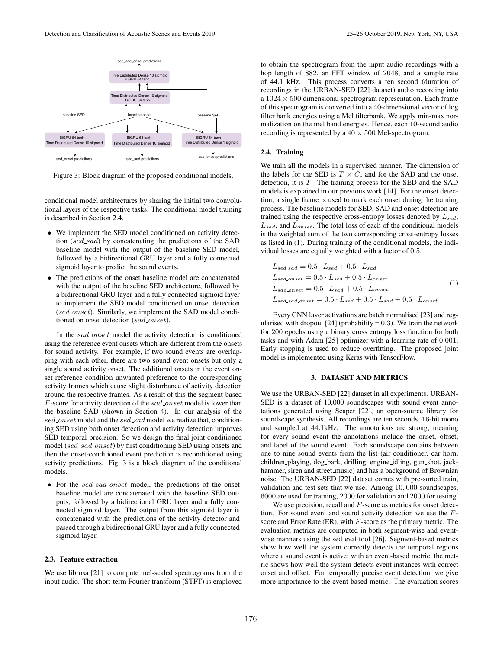

Figure 3: Block diagram of the proposed conditional models.

conditional model architectures by sharing the initial two convolutional layers of the respective tasks. The conditional model training is described in Section 2.4.

- We implement the SED model conditioned on activity detection (sed\_sad) by concatenating the predictions of the SAD baseline model with the output of the baseline SED model, followed by a bidirectional GRU layer and a fully connected sigmoid layer to predict the sound events.
- The predictions of the onset baseline model are concatenated with the output of the baseline SED architecture, followed by a bidirectional GRU layer and a fully connected sigmoid layer to implement the SED model conditioned on onset detection (sed\_onset). Similarly, we implement the SAD model conditioned on onset detection (sad\_onset).

In the sad\_onset model the activity detection is conditioned using the reference event onsets which are different from the onsets for sound activity. For example, if two sound events are overlapping with each other, there are two sound event onsets but only a single sound activity onset. The additional onsets in the event onset reference condition unwanted preference to the corresponding activity frames which cause slight disturbance of activity detection around the respective frames. As a result of this the segment-based  $F$ -score for activity detection of the  $sad\_onset$  model is lower than the baseline SAD (shown in Section 4). In our analysis of the sed\_onset model and the sed\_sad model we realize that, conditioning SED using both onset detection and activity detection improves SED temporal precision. So we design the final joint conditioned model (sed\_sad\_onset) by first conditioning SED using onsets and then the onset-conditioned event prediction is reconditioned using activity predictions. Fig. 3 is a block diagram of the conditional models.

• For the sed\_sad\_onset model, the predictions of the onset baseline model are concatenated with the baseline SED outputs, followed by a bidirectional GRU layer and a fully connected sigmoid layer. The output from this sigmoid layer is concatenated with the predictions of the activity detector and passed through a bidirectional GRU layer and a fully connected sigmoid layer.

### 2.3. Feature extraction

We use librosa [21] to compute mel-scaled spectrograms from the input audio. The short-term Fourier transform (STFT) is employed

to obtain the spectrogram from the input audio recordings with a hop length of 882, an FFT window of 2048, and a sample rate of 44.1 kHz. This process converts a ten second (duration of recordings in the URBAN-SED [22] dataset) audio recording into a  $1024 \times 500$  dimensional spectrogram representation. Each frame of this spectrogram is converted into a 40-dimensional vector of log filter bank energies using a Mel filterbank. We apply min-max normalization on the mel band energies. Hence, each 10-second audio recording is represented by a  $40 \times 500$  Mel-spectrogram.

### 2.4. Training

We train all the models in a supervised manner. The dimension of the labels for the SED is  $T \times C$ , and for the SAD and the onset detection, it is  $T$ . The training process for the SED and the SAD models is explained in our previous work [14]. For the onset detection, a single frame is used to mark each onset during the training process. The baseline models for SED, SAD and onset detection are trained using the respective cross-entropy losses denoted by  $L_{sed}$ ,  $L_{sad}$ , and  $L_{onset}$ . The total loss of each of the conditional models is the weighted sum of the two corresponding cross-entropy losses as listed in (1). During training of the conditional models, the individual losses are equally weighted with a factor of 0.5.

$$
L_{sed,sad} = 0.5 \cdot L_{sed} + 0.5 \cdot L_{sad}
$$
  
\n
$$
L_{sed,onset} = 0.5 \cdot L_{sed} + 0.5 \cdot L_{onset}
$$
  
\n
$$
L_{sad,onset} = 0.5 \cdot L_{sad} + 0.5 \cdot L_{onset}
$$
  
\n
$$
L_{sed.sad,onset} = 0.5 \cdot L_{sed} + 0.5 \cdot L_{sad} + 0.5 \cdot L_{onset}
$$
 (1)

Every CNN layer activations are batch normalised [23] and regularised with dropout  $[24]$  (probability = 0.3). We train the network for 200 epochs using a binary cross entropy loss function for both tasks and with Adam [25] optimizer with a learning rate of 0.001. Early stopping is used to reduce overfitting. The proposed joint model is implemented using Keras with TensorFlow.

## 3. DATASET AND METRICS

We use the URBAN-SED [22] dataset in all experiments. URBAN-SED is a dataset of 10,000 soundscapes with sound event annotations generated using Scaper [22], an open-source library for soundscape synthesis. All recordings are ten seconds, 16-bit mono and sampled at 44.1kHz. The annotations are strong, meaning for every sound event the annotations include the onset, offset, and label of the sound event. Each soundscape contains between one to nine sound events from the list (air conditioner, car horn, children playing, dog bark, drilling, engine idling, gun shot, jackhammer, siren and street\_music) and has a background of Brownian noise. The URBAN-SED [22] dataset comes with pre-sorted train, validation and test sets that we use. Among 10, 000 soundscapes, 6000 are used for training, 2000 for validation and 2000 for testing.

We use precision, recall and  $F$ -score as metrics for onset detection. For sound event and sound activity detection we use the  $F$ score and Error Rate (ER), with  $F$ -score as the primary metric. The evaluation metrics are computed in both segment-wise and eventwise manners using the sed eval tool [26]. Segment-based metrics show how well the system correctly detects the temporal regions where a sound event is active; with an event-based metric, the metric shows how well the system detects event instances with correct onset and offset. For temporally precise event detection, we give more importance to the event-based metric. The evaluation scores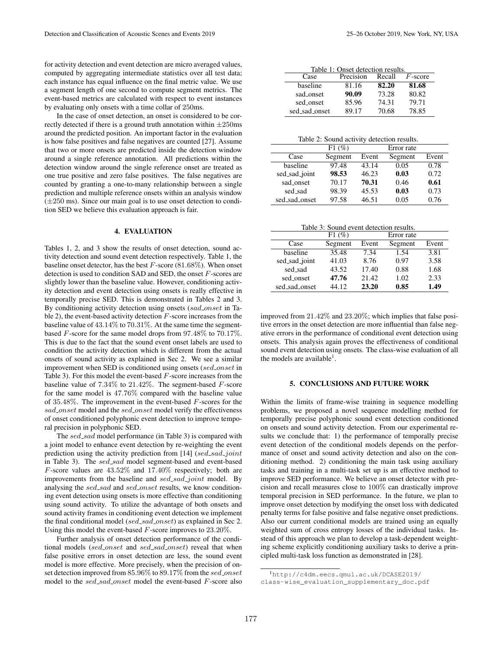for activity detection and event detection are micro averaged values, computed by aggregating intermediate statistics over all test data; each instance has equal influence on the final metric value. We use a segment length of one second to compute segment metrics. The event-based metrics are calculated with respect to event instances by evaluating only onsets with a time collar of 250ms.

In the case of onset detection, an onset is considered to be correctly detected if there is a ground truth annotation within  $\pm 250$ ms around the predicted position. An important factor in the evaluation is how false positives and false negatives are counted [27]. Assume that two or more onsets are predicted inside the detection window around a single reference annotation. All predictions within the detection window around the single reference onset are treated as one true positive and zero false positives. The false negatives are counted by granting a one-to-many relationship between a single prediction and multiple reference onsets within an analysis window  $(\pm 250 \text{ ms})$ . Since our main goal is to use onset detection to condition SED we believe this evaluation approach is fair.

## 4. EVALUATION

Tables 1, 2, and 3 show the results of onset detection, sound activity detection and sound event detection respectively. Table 1, the baseline onset detector, has the best  $F$ -score (81.68%). When onset detection is used to condition SAD and SED, the onset F-scores are slightly lower than the baseline value. However, conditioning activity detection and event detection using onsets is really effective in temporally precise SED. This is demonstrated in Tables 2 and 3. By conditioning activity detection using onsets (sad\_onset in Table 2), the event-based activity detection  $F$ -score increases from the baseline value of 43.14% to 70.31%. At the same time the segmentbased F-score for the same model drops from 97.48% to 70.17%. This is due to the fact that the sound event onset labels are used to condition the activity detection which is different from the actual onsets of sound activity as explained in Sec 2. We see a similar improvement when SED is conditioned using onsets (sed\_onset in Table 3). For this model the event-based F-score increases from the baseline value of  $7.34\%$  to  $21.42\%$ . The segment-based F-score for the same model is 47.76% compared with the baseline value of 35.48%. The improvement in the event-based F-scores for the sad\_onset model and the sed\_onset model verify the effectiveness of onset conditioned polyphonic event detection to improve temporal precision in polyphonic SED.

The sed\_sad model performance (in Table 3) is compared with a joint model to enhance event detection by re-weighting the event prediction using the activity prediction from [14]  $(sed\_sad\_joint$ in Table 3). The sed\_sad model segment-based and event-based  $F$ -score values are  $43.52\%$  and  $17.40\%$  respectively; both are improvements from the baseline and sed\_sad\_joint model. By analysing the sed\_sad and sed\_onset results, we know conditioning event detection using onsets is more effective than conditioning using sound activity. To utilize the advantage of both onsets and sound activity frames in conditioning event detection we implement the final conditional model (sed\_sad\_onset) as explained in Sec 2. Using this model the event-based  $F$ -score improves to 23.20%.

Further analysis of onset detection performance of the conditional models (sed\_onset and sed\_sad\_onset) reveal that when false positive errors in onset detection are less, the sound event model is more effective. More precisely, when the precision of onset detection improved from 85.96% to 89.17% from the sed\_onset model to the  $sed\_sad\_onset$  model the event-based  $F$ -score also

| Table 1: Onset detection results. |           |        |            |  |  |  |  |
|-----------------------------------|-----------|--------|------------|--|--|--|--|
| Case                              | Precision | Recall | $F$ -score |  |  |  |  |
| baseline                          | 81.16     | 82.20  | 81.68      |  |  |  |  |
| sad_onset                         | 90.09     | 73.28  | 80.82      |  |  |  |  |
| sed_onset                         | 85.96     | 74.31  | 79.71      |  |  |  |  |
| sed_sad_onset                     | 89.17     | 70.68  | 78.85      |  |  |  |  |

Table 2: Sound activity detection results.

|               | F1(%)   |       | Error rate |       |
|---------------|---------|-------|------------|-------|
| Case          | Segment | Event | Segment    | Event |
| baseline      | 97.48   | 43.14 | 0.05       | 0.78  |
| sed_sad_joint | 98.53   | 46.23 | 0.03       | 0.72  |
| sad_onset     | 70.17   | 70.31 | 0.46       | 0.61  |
| sed_sad       | 98.39   | 45.53 | 0.03       | 0.73  |
| sed_sad_onset | 97.58   | 46.51 | 0.05       | 0.76  |
|               |         |       |            |       |

Table 3: Sound event detection results.

|               | F1(%)   | Error rate |         |       |
|---------------|---------|------------|---------|-------|
| Case          | Segment | Event      | Segment | Event |
| baseline      | 35.48   | 7.34       | 1.54    | 3.81  |
| sed_sad_joint | 41.03   | 8.76       | 0.97    | 3.58  |
| sed sad       | 43.52   | 17.40      | 0.88    | 1.68  |
| sed_onset     | 47.76   | 21.42      | 1.02    | 2.33  |
| sed_sad_onset | 44.12   | 23.20      | 0.85    | 1.49  |

improved from 21.42% and 23.20%; which implies that false positive errors in the onset detection are more influential than false negative errors in the performance of conditional event detection using onsets. This analysis again proves the effectiveness of conditional sound event detection using onsets. The class-wise evaluation of all the models are available<sup>1</sup>.

## 5. CONCLUSIONS AND FUTURE WORK

Within the limits of frame-wise training in sequence modelling problems, we proposed a novel sequence modelling method for temporally precise polyphonic sound event detection conditioned on onsets and sound activity detection. From our experimental results we conclude that: 1) the performance of temporally precise event detection of the conditional models depends on the performance of onset and sound activity detection and also on the conditioning method. 2) conditioning the main task using auxiliary tasks and training in a multi-task set up is an effective method to improve SED performance. We believe an onset detector with precision and recall measures close to 100% can drastically improve temporal precision in SED performance. In the future, we plan to improve onset detection by modifying the onset loss with dedicated penalty terms for false positive and false negative onset predictions. Also our current conditional models are trained using an equally weighted sum of cross entropy losses of the individual tasks. Instead of this approach we plan to develop a task-dependent weighting scheme explicitly conditioning auxiliary tasks to derive a principled multi-task loss function as demonstrated in [28].

<sup>1</sup>http://c4dm.eecs.qmul.ac.uk/DCASE2019/ class-wise\_evaluation\_supplementary\_doc.pdf